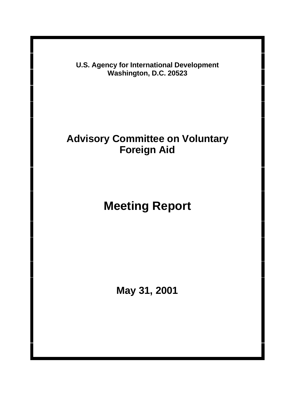**U.S. Agency for International Development Washington, D.C. 20523**

## **Advisory Committee on Voluntary Foreign Aid**

# **Meeting Report**

**May 31, 2001**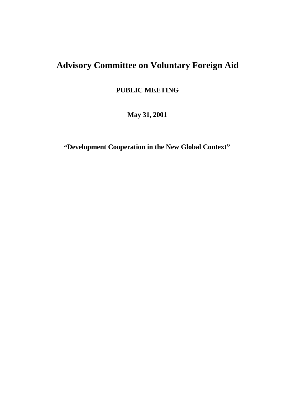## **Advisory Committee on Voluntary Foreign Aid**

**PUBLIC MEETING**

**May 31, 2001**

**"Development Cooperation in the New Global Context"**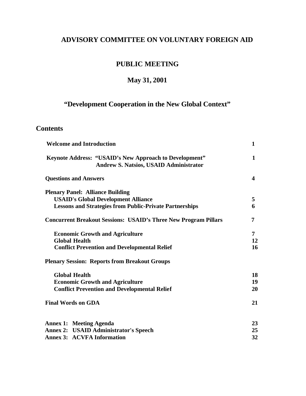### **ADVISORY COMMITTEE ON VOLUNTARY FOREIGN AID**

### **PUBLIC MEETING**

## **May 31, 2001**

## **"Development Cooperation in the New Global Context"**

#### **Contents**

| <b>Welcome and Introduction</b>                                                                                |              |
|----------------------------------------------------------------------------------------------------------------|--------------|
| <b>Keynote Address: "USAID's New Approach to Development"</b><br><b>Andrew S. Natsios, USAID Administrator</b> | $\mathbf{1}$ |
| <b>Questions and Answers</b>                                                                                   | 4            |
| <b>Plenary Panel: Alliance Building</b>                                                                        |              |
| <b>USAID's Global Development Alliance</b>                                                                     | 5            |
| <b>Lessons and Strategies from Public-Private Partnerships</b>                                                 | 6            |
| <b>Concurrent Breakout Sessions: USAID's Three New Program Pillars</b>                                         | 7            |
| <b>Economic Growth and Agriculture</b>                                                                         | 7            |
| <b>Global Health</b>                                                                                           | 12           |
| <b>Conflict Prevention and Developmental Relief</b>                                                            | 16           |
| <b>Plenary Session: Reports from Breakout Groups</b>                                                           |              |
| <b>Global Health</b>                                                                                           | 18           |
| <b>Economic Growth and Agriculture</b>                                                                         |              |
| <b>Conflict Prevention and Developmental Relief</b>                                                            | 20           |
| <b>Final Words on GDA</b>                                                                                      | 21           |
| <b>Annex 1: Meeting Agenda</b>                                                                                 | 23           |
| <b>Annex 2: USAID Administrator's Speech</b>                                                                   | 25           |
| <b>Annex 3: ACVFA Information</b>                                                                              | 32           |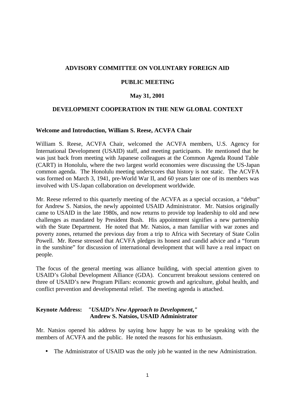#### **ADVISORY COMMITTEE ON VOLUNTARY FOREIGN AID**

#### **PUBLIC MEETING**

#### **May 31, 2001**

#### **DEVELOPMENT COOPERATION IN THE NEW GLOBAL CONTEXT**

#### **Welcome and Introduction, William S. Reese, ACVFA Chair**

William S. Reese, ACVFA Chair, welcomed the ACVFA members, U.S. Agency for International Development (USAID) staff, and meeting participants. He mentioned that he was just back from meeting with Japanese colleagues at the Common Agenda Round Table (CART) in Honolulu, where the two largest world economies were discussing the US-Japan common agenda. The Honolulu meeting underscores that history is not static. The ACVFA was formed on March 3, 1941, pre-World War II, and 60 years later one of its members was involved with US-Japan collaboration on development worldwide.

Mr. Reese referred to this quarterly meeting of the ACVFA as a special occasion, a "debut" for Andrew S. Natsios, the newly appointed USAID Administrator. Mr. Natsios originally came to USAID in the late 1980s, and now returns to provide top leadership to old and new challenges as mandated by President Bush. His appointment signifies a new partnership with the State Department. He noted that Mr. Natsios, a man familiar with war zones and poverty zones, returned the previous day from a trip to Africa with Secretary of State Colin Powell. Mr. Reese stressed that ACVFA pledges its honest and candid advice and a "forum in the sunshine" for discussion of international development that will have a real impact on people.

The focus of the general meeting was alliance building, with special attention given to USAID's Global Development Alliance (GDA). Concurrent breakout sessions centered on three of USAID's new Program Pillars: economic growth and agriculture, global health, and conflict prevention and developmental relief. The meeting agenda is attached.

#### **Keynote Address:** *"USAID's New Approach to Development***,***"* **Andrew S. Natsios, USAID Administrator**

Mr. Natsios opened his address by saying how happy he was to be speaking with the members of ACVFA and the public. He noted the reasons for his enthusiasm.

• The Administrator of USAID was the only job he wanted in the new Administration.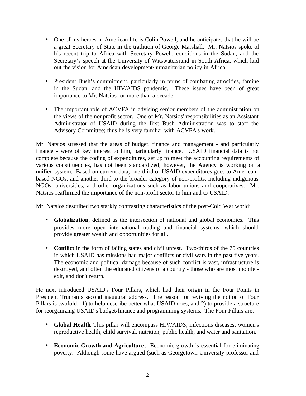- One of his heroes in American life is Colin Powell, and he anticipates that he will be a great Secretary of State in the tradition of George Marshall. Mr. Natsios spoke of his recent trip to Africa with Secretary Powell, conditions in the Sudan, and the Secretary's speech at the University of Witswatersrand in South Africa, which laid out the vision for American development/humanitarian policy in Africa.
- President Bush's commitment, particularly in terms of combating atrocities, famine in the Sudan, and the HIV/AIDS pandemic. These issues have been of great importance to Mr. Natsios for more than a decade.
- The important role of ACVFA in advising senior members of the administration on the views of the nonprofit sector. One of Mr. Natsios' responsibilities as an Assistant Administrator of USAID during the first Bush Administration was to staff the Advisory Committee; thus he is very familiar with ACVFA's work.

Mr. Natsios stressed that the areas of budget, finance and management - and particularly finance - were of key interest to him, particularly finance. USAID financial data is not complete because the coding of expenditures, set up to meet the accounting requirements of various constituencies, has not been standardized; however, the Agency is working on a unified system. Based on current data, one-third of USAID expenditures goes to Americanbased NGOs, and another third to the broader category of non-profits, including indigenous NGOs, universities, and other organizations such as labor unions and cooperatives. Mr. Natsios reaffirmed the importance of the non-profit sector to him and to USAID.

Mr. Natsios described two starkly contrasting characteristics of the post-Cold War world:

- **Globalization**, defined as the intersection of national and global economies. This provides more open international trading and financial systems, which should provide greater wealth and opportunities for all.
- **Conflict** in the form of failing states and civil unrest. Two-thirds of the 75 countries in which USAID has missions had major conflicts or civil wars in the past five years. The economic and political damage because of such conflict is vast, infrastructure is destroyed, and often the educated citizens of a country - those who are most mobile exit, and don't return.

He next introduced USAID's Four Pillars, which had their origin in the Four Points in President Truman's second inaugural address. The reason for reviving the notion of Four Pillars is twofold: 1) to help describe better what USAID does, and 2) to provide a structure for reorganizing USAID's budget/finance and programming systems. The Four Pillars are:

- **Global Health**. This pillar will encompass HIV/AIDS, infectious diseases, women's reproductive health, child survival, nutrition, public health, and water and sanitation.
- **Economic Growth and Agriculture** . Economic growth is essential for eliminating poverty. Although some have argued (such as Georgetown University professor and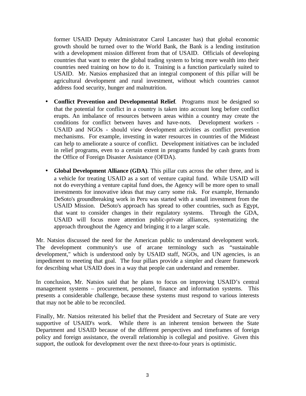former USAID Deputy Administrator Carol Lancaster has) that global economic growth should be turned over to the World Bank, the Bank is a lending institution with a development mission different from that of USAID. Officials of developing countries that want to enter the global trading system to bring more wealth into their countries need training on how to do it. Training is a function particularly suited to USAID. Mr. Natsios emphasized that an integral component of this pillar will be agricultural development and rural investment, without which countries cannot address food security, hunger and malnutrition.

- **Conflict Prevention and Developmental Relief**. Programs must be designed so that the potential for conflict in a country is taken into account long before conflict erupts. An imbalance of resources between areas within a country may create the conditions for conflict between haves and have-nots. Development workers - USAID and NGOs - should view development activities as conflict prevention mechanisms. For example, investing in water resources in countries of the Mideast can help to ameliorate a source of conflict. Development initiatives can be included in relief programs, even to a certain extent in programs funded by cash grants from the Office of Foreign Disaster Assistance (OFDA).
- **Global Development Alliance (GDA)**. This pillar cuts across the other three, and is a vehicle for treating USAID as a sort of venture capital fund. While USAID will not do everything a venture capital fund does, the Agency will be more open to small investments for innovative ideas that may carry some risk. For example, Hernando DeSoto's groundbreaking work in Peru was started with a small investment from the USAID Mission. DeSoto's approach has spread to other countries, such as Egypt, that want to consider changes in their regulatory systems. Through the GDA, USAID will focus more attention public-private alliances, systematizing the approach throughout the Agency and bringing it to a larger scale.

Mr. Natsios discussed the need for the American public to understand development work. The development community's use of arcane terminology such as "sustainable development," which is understood only by USAID staff, NGOs, and UN agencies, is an impediment to meeting that goal. The four pillars provide a simpler and clearer framework for describing what USAID does in a way that people can understand and remember.

In conclusion, Mr. Natsios said that he plans to focus on improving USAID's central management systems – procurement, personnel, finance and information systems. This presents a considerable challenge, because these systems must respond to various interests that may not be able to be reconciled.

Finally, Mr. Natsios reiterated his belief that the President and Secretary of State are very supportive of USAID's work. While there is an inherent tension between the State Department and USAID because of the different perspectives and timeframes of foreign policy and foreign assistance, the overall relationship is collegial and positive. Given this support, the outlook for development over the next three-to-four years is optimistic.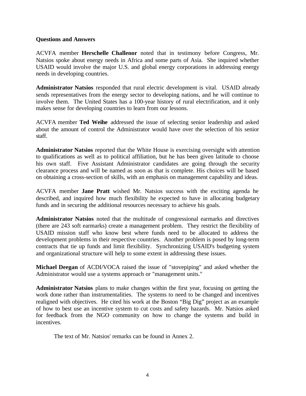#### **Questions and Answers**

ACVFA member **Herschelle Challenor** noted that in testimony before Congress, Mr. Natsios spoke about energy needs in Africa and some parts of Asia. She inquired whether USAID would involve the major U.S. and global energy corporations in addressing energy needs in developing countries.

**Administrator Natsios** responded that rural electric development is vital. USAID already sends representatives from the energy sector to developing nations, and he will continue to involve them. The United States has a 100-year history of rural electrification, and it only makes sense for developing countries to learn from our lessons.

ACVFA member **Ted Weihe** addressed the issue of selecting senior leadership and asked about the amount of control the Administrator would have over the selection of his senior staff.

**Administrator Natsios** reported that the White House is exercising oversight with attention to qualifications as well as to political affiliation, but he has been given latitude to choose his own staff. Five Assistant Administrator candidates are going through the security clearance process and will be named as soon as that is complete. His choices will be based on obtaining a cross-section of skills, with an emphasis on management capability and ideas.

ACVFA member **Jane Pratt** wished Mr. Natsios success with the exciting agenda he described, and inquired how much flexibility he expected to have in allocating budgetary funds and in securing the additional resources necessary to achieve his goals.

**Administrator Natsios** noted that the multitude of congressional earmarks and directives (there are 243 soft earmarks) create a management problem. They restrict the flexibility of USAID mission staff who know best where funds need to be allocated to address the development problems in their respective countries. Another problem is posed by long-term contracts that tie up funds and limit flexibility. Synchronizing USAID's budgeting system and organizational structure will help to some extent in addressing these issues.

**Michael Deegan** of ACDI/VOCA raised the issue of "stovepiping" and asked whether the Administrator would use a systems approach or "management units."

**Administrator Natsios** plans to make changes within the first year, focusing on getting the work done rather than instrumentalities. The systems to need to be changed and incentives realigned with objectives. He cited his work at the Boston "Big Dig" project as an example of how to best use an incentive system to cut costs and safety hazards. Mr. Natsios asked for feedback from the NGO community on how to change the systems and build in incentives.

The text of Mr. Natsios' remarks can be found in Annex 2.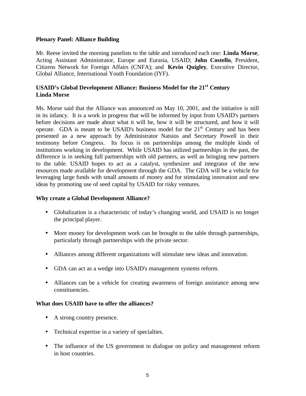#### **Plenary Panel: Alliance Building**

Mr. Reese invited the morning panelists to the table and introduced each one: **Linda Morse**, Acting Assistant Administrator, Europe and Eurasia, USAID; **John Costello**, President, Citizens Network for Foreign Affairs (CNFA); and **Kevin Quigley**, Executive Director, Global Alliance, International Youth Foundation (IYF).

#### **USAID's Global Development Alliance: Business Model for the 21st Century Linda Morse**

Ms. Morse said that the Alliance was announced on May 10, 2001, and the initiative is still in its infancy. It is a work in progress that will be informed by input from USAID's partners before decisions are made about what it will be, how it will be structured, and how it will operate. GDA is meant to be USAID's business model for the  $21<sup>st</sup>$  Century and has been presented as a new approach by Administrator Natsios and Secretary Powell in their testimony before Congress. Its focus is on partnerships among the multiple kinds of institutions working in development. While USAID has utilized partnerships in the past, the difference is in seeking full partnerships with old partners, as well as bringing new partners to the table. USAID hopes to act as a catalyst, synthesizer and integrator of the new resources made available for development through the GDA. The GDA will be a vehicle for leveraging large funds with small amounts of money and for stimulating innovation and new ideas by promoting use of seed capital by USAID for risky ventures.

#### **Why create a Global Development Alliance?**

- Globalization is a characteristic of today's changing world, and USAID is no longer the principal player.
- More money for development work can be brought to the table through partnerships, particularly through partnerships with the private sector.
- Alliances among different organizations will stimulate new ideas and innovation.
- GDA can act as a wedge into USAID's management systems reform.
- Alliances can be a vehicle for creating awareness of foreign assistance among new constituencies.

#### **What does USAID have to offer the alliances?**

- A strong country presence.
- Technical expertise in a variety of specialties.
- The influence of the US government in dialogue on policy and management reform in host countries.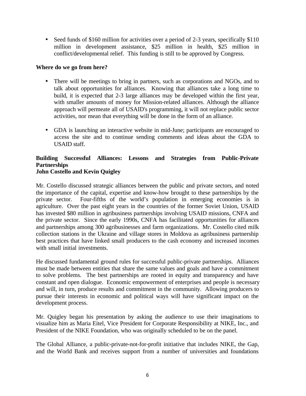• Seed funds of \$160 million for activities over a period of 2-3 years, specifically \$110 million in development assistance, \$25 million in health, \$25 million in conflict/developmental relief. This funding is still to be approved by Congress.

#### **Where do we go from here?**

- There will be meetings to bring in partners, such as corporations and NGOs, and to talk about opportunities for alliances. Knowing that alliances take a long time to build, it is expected that 2-3 large alliances may be developed within the first year, with smaller amounts of money for Mission-related alliances. Although the alliance approach will permeate all of USAID's programming, it will not replace public sector activities, nor mean that everything will be done in the form of an alliance.
- GDA is launching an interactive website in mid-June; participants are encouraged to access the site and to continue sending comments and ideas about the GDA to USAID staff.

#### **Building Successful Alliances: Lessons and Strategies from Public-Private Partnerships John Costello and Kevin Quigley**

Mr. Costello discussed strategic alliances between the public and private sectors, and noted the importance of the capital, expertise and know-how brought to these partnerships by the private sector. Four-fifths of the world's population in emerging economies is in agriculture. Over the past eight years in the countries of the former Soviet Union, USAID has invested \$80 million in agribusiness partnerships involving USAID missions, CNFA and the private sector. Since the early 1990s, CNFA has facilitated opportunities for alliances and partnerships among 300 agribusinesses and farm organizations. Mr. Costello cited milk collection stations in the Ukraine and village stores in Moldova as agribusiness partnership best practices that have linked small producers to the cash economy and increased incomes with small initial investments.

He discussed fundamental ground rules for successful public-private partnerships. Alliances must be made between entities that share the same values and goals and have a commitment to solve problems. The best partnerships are rooted in equity and transparency and have constant and open dialogue. Economic empowerment of enterprises and people is necessary and will, in turn, produce results and commitment in the community. Allowing producers to pursue their interests in economic and political ways will have significant impact on the development process.

Mr. Quigley began his presentation by asking the audience to use their imaginations to visualize him as Maria Eitel, Vice President for Corporate Responsibility at NIKE, Inc., and President of the NIKE Foundation, who was originally scheduled to be on the panel.

The Global Alliance, a public-private-not-for-profit initiative that includes NIKE, the Gap, and the World Bank and receives support from a number of universities and foundations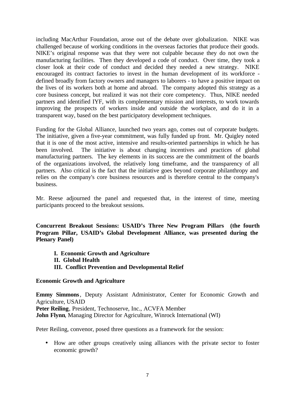including MacArthur Foundation, arose out of the debate over globalization. NIKE was challenged because of working conditions in the overseas factories that produce their goods. NIKE's original response was that they were not culpable because they do not own the manufacturing facilities. Then they developed a code of conduct. Over time, they took a closer look at their code of conduct and decided they needed a new strategy. NIKE encouraged its contract factories to invest in the human development of its workforce defined broadly from factory owners and managers to laborers - to have a positive impact on the lives of its workers both at home and abroad. The company adopted this strategy as a core business concept, but realized it was not their core competency. Thus, NIKE needed partners and identified IYF, with its complementary mission and interests, to work towards improving the prospects of workers inside and outside the workplace, and do it in a transparent way, based on the best participatory development techniques.

Funding for the Global Alliance, launched two years ago, comes out of corporate budgets. The initiative, given a five-year commitment, was fully funded up front. Mr. Quigley noted that it is one of the most active, intensive and results-oriented partnerships in which he has been involved. The initiative is about changing incentives and practices of global manufacturing partners. The key elements in its success are the commitment of the boards of the organizations involved, the relatively long timeframe, and the transparency of all partners. Also critical is the fact that the initiative goes beyond corporate philanthropy and relies on the company's core business resources and is therefore central to the company's business.

Mr. Reese adjourned the panel and requested that, in the interest of time, meeting participants proceed to the breakout sessions.

**Concurrent Breakout Sessions: USAID's Three New Program Pillars (the fourth Program Pillar, USAID's Global Development Alliance, was presented during the Plenary Panel)**

**I. Economic Growth and Agriculture II. Global Health III. Conflict Prevention and Developmental Relief**

#### **Economic Growth and Agriculture**

**Emmy Simmons**, Deputy Assistant Administrator, Center for Economic Growth and Agriculture, USAID **Peter Reiling**, President, Technoserve, Inc., ACVFA Member **John Flynn**, Managing Director for Agriculture, Winrock International (WI)

Peter Reiling, convenor, posed three questions as a framework for the session:

• How are other groups creatively using alliances with the private sector to foster economic growth?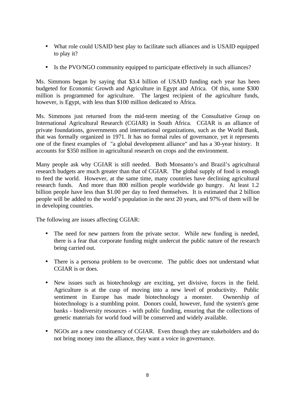- What role could USAID best play to facilitate such alliances and is USAID equipped to play it?
- Is the PVO/NGO community equipped to participate effectively in such alliances?

Ms. Simmons began by saying that \$3.4 billion of USAID funding each year has been budgeted for Economic Growth and Agriculture in Egypt and Africa. Of this, some \$300 million is programmed for agriculture. The largest recipient of the agriculture funds, however, is Egypt, with less than \$100 million dedicated to Africa.

Ms. Simmons just returned from the mid-term meeting of the Consultative Group on International Agricultural Research (CGIAR) in South Africa. CGIAR is an alliance of private foundations, governments and international organizations, such as the World Bank, that was formally organized in 1971. It has no formal rules of governance, yet it represents one of the finest examples of "a global development alliance" and has a 30-year history. It accounts for \$350 million in agricultural research on crops and the environment.

Many people ask why CGIAR is still needed. Both Monsanto's and Brazil's agricultural research budgets are much greater than that of CGIAR. The global supply of food is enough to feed the world. However, at the same time, many countries have declining agricultural research funds. And more than 800 million people worldwide go hungry. At least 1.2 billion people have less than \$1.00 per day to feed themselves. It is estimated that 2 billion people will be added to the world's population in the next 20 years, and 97% of them will be in developing countries.

The following are issues affecting CGIAR:

- The need for new partners from the private sector. While new funding is needed, there is a fear that corporate funding might undercut the public nature of the research being carried out.
- There is a persona problem to be overcome. The public does not understand what CGIAR is or does.
- New issues such as biotechnology are exciting, yet divisive, forces in the field. Agriculture is at the cusp of moving into a new level of productivity. Public sentiment in Europe has made biotechnology a monster. Ownership of biotechnology is a stumbling point. Donors could, however, fund the system's gene banks - biodiversity resources - with public funding, ensuring that the collections of genetic materials for world food will be conserved and widely available.
- NGOs are a new constituency of CGIAR. Even though they are stakeholders and do not bring money into the alliance, they want a voice in governance.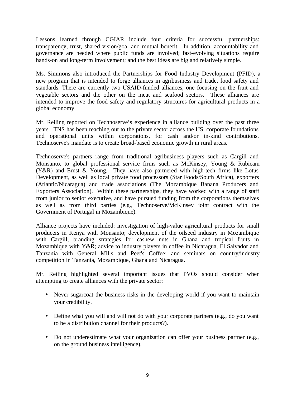Lessons learned through CGIAR include four criteria for successful partnerships: transparency, trust, shared vision/goal and mutual benefit. In addition, accountability and governance are needed where public funds are involved; fast-evolving situations require hands-on and long-term involvement; and the best ideas are big and relatively simple.

Ms. Simmons also introduced the Partnerships for Food Industry Development (PFID), a new program that is intended to forge alliances in agribusiness and trade, food safety and standards. There are currently two USAID-funded alliances, one focusing on the fruit and vegetable sectors and the other on the meat and seafood sectors. These alliances are intended to improve the food safety and regulatory structures for agricultural products in a global economy.

Mr. Reiling reported on Technoserve's experience in alliance building over the past three years. TNS has been reaching out to the private sector across the US, corporate foundations and operational units within corporations, for cash and/or in-kind contributions. Technoserve's mandate is to create broad-based economic growth in rural areas.

Technoserve's partners range from traditional agribusiness players such as Cargill and Monsanto, to global professional service firms such as McKinsey, Young & Rubicam (Y&R) and Ernst & Young. They have also partnered with high-tech firms like Lotus Development, as well as local private food processors (Star Foods/South Africa), exporters (Atlantic/Nicaragua) and trade associations (The Mozambique Banana Producers and Exporters Association). Within these partnerships, they have worked with a range of staff from junior to senior executive, and have pursued funding from the corporations themselves as well as from third parties (e.g., Technoserve/McKinsey joint contract with the Government of Portugal in Mozambique).

Alliance projects have included: investigation of high-value agricultural products for small producers in Kenya with Monsanto; development of the oilseed industry in Mozambique with Cargill; branding strategies for cashew nuts in Ghana and tropical fruits in Mozambique with Y&R; advice to industry players in coffee in Nicaragua, El Salvador and Tanzania with General Mills and Peet's Coffee; and seminars on country/industry competition in Tanzania, Mozambique, Ghana and Nicaragua.

Mr. Reiling highlighted several important issues that PVOs should consider when attempting to create alliances with the private sector:

- Never sugarcoat the business risks in the developing world if you want to maintain your credibility.
- Define what you will and will not do with your corporate partners (e.g., do you want to be a distribution channel for their products?).
- Do not underestimate what your organization can offer your business partner (e.g., on the ground business intelligence).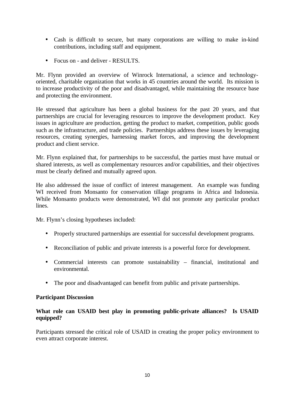- Cash is difficult to secure, but many corporations are willing to make in-kind contributions, including staff and equipment.
- Focus on and deliver RESULTS.

Mr. Flynn provided an overview of Winrock International, a science and technologyoriented, charitable organization that works in 45 countries around the world. Its mission is to increase productivity of the poor and disadvantaged, while maintaining the resource base and protecting the environment.

He stressed that agriculture has been a global business for the past 20 years, and that partnerships are crucial for leveraging resources to improve the development product. Key issues in agriculture are production, getting the product to market, competition, public goods such as the infrastructure, and trade policies. Partnerships address these issues by leveraging resources, creating synergies, harnessing market forces, and improving the development product and client service.

Mr. Flynn explained that, for partnerships to be successful, the parties must have mutual or shared interests, as well as complementary resources and/or capabilities, and their objectives must be clearly defined and mutually agreed upon.

He also addressed the issue of conflict of interest management. An example was funding WI received from Monsanto for conservation tillage programs in Africa and Indonesia. While Monsanto products were demonstrated, WI did not promote any particular product lines.

Mr. Flynn's closing hypotheses included:

- Properly structured partnerships are essential for successful development programs.
- Reconciliation of public and private interests is a powerful force for development.
- Commercial interests can promote sustainability financial, institutional and environmental.
- The poor and disadvantaged can benefit from public and private partnerships.

#### **Participant Discussion**

#### **What role can USAID best play in promoting public-private alliances? Is USAID equipped?**

Participants stressed the critical role of USAID in creating the proper policy environment to even attract corporate interest.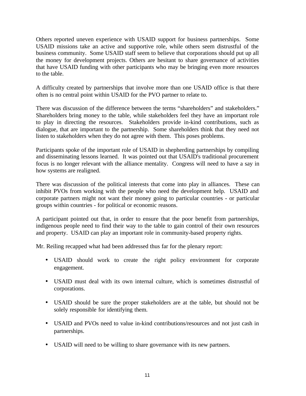Others reported uneven experience with USAID support for business partnerships. Some USAID missions take an active and supportive role, while others seem distrustful of the business community. Some USAID staff seem to believe that corporations should put up all the money for development projects. Others are hesitant to share governance of activities that have USAID funding with other participants who may be bringing even more resources to the table.

A difficulty created by partnerships that involve more than one USAID office is that there often is no central point within USAID for the PVO partner to relate to.

There was discussion of the difference between the terms "shareholders" and stakeholders." Shareholders bring money to the table, while stakeholders feel they have an important role to play in directing the resources. Stakeholders provide in-kind contributions, such as dialogue, that are important to the partnership. Some shareholders think that they need not listen to stakeholders when they do not agree with them. This poses problems.

Participants spoke of the important role of USAID in shepherding partnerships by compiling and disseminating lessons learned. It was pointed out that USAID's traditional procurement focus is no longer relevant with the alliance mentality. Congress will need to have a say in how systems are realigned.

There was discussion of the political interests that come into play in alliances. These can inhibit PVOs from working with the people who need the development help. USAID and corporate partners might not want their money going to particular countries - or particular groups within countries - for political or economic reasons.

A participant pointed out that, in order to ensure that the poor benefit from partnerships, indigenous people need to find their way to the table to gain control of their own resources and property. USAID can play an important role in community-based property rights.

Mr. Reiling recapped what had been addressed thus far for the plenary report:

- USAID should work to create the right policy environment for corporate engagement.
- USAID must deal with its own internal culture, which is sometimes distrustful of corporations.
- USAID should be sure the proper stakeholders are at the table, but should not be solely responsible for identifying them.
- USAID and PVOs need to value in-kind contributions/resources and not just cash in partnerships.
- USAID will need to be willing to share governance with its new partners.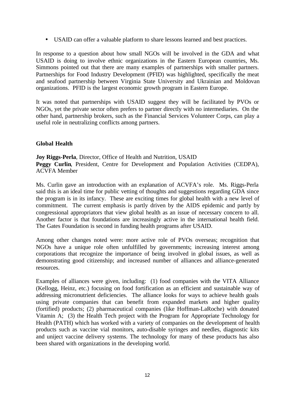• USAID can offer a valuable platform to share lessons learned and best practices.

In response to a question about how small NGOs will be involved in the GDA and what USAID is doing to involve ethnic organizations in the Eastern European countries, Ms. Simmons pointed out that there are many examples of partnerships with smaller partners. Partnerships for Food Industry Development (PFID) was highlighted, specifically the meat and seafood partnership between Virginia State University and Ukrainian and Moldovan organizations. PFID is the largest economic growth program in Eastern Europe.

It was noted that partnerships with USAID suggest they will be facilitated by PVOs or NGOs, yet the private sector often prefers to partner directly with no intermediaries. On the other hand, partnership brokers, such as the Financial Services Volunteer Corps, can play a useful role in neutralizing conflicts among partners.

#### **Global Health**

**Joy Riggs-Perla**, Director, Office of Health and Nutrition, USAID Peggy Curlin, President, Centre for Development and Population Activities (CEDPA), ACVFA Member

Ms. Curlin gave an introduction with an explanation of ACVFA's role. Ms. Riggs-Perla said this is an ideal time for public vetting of thoughts and suggestions regarding GDA since the program is in its infancy. These are exciting times for global health with a new level of commitment. The current emphasis is partly driven by the AIDS epidemic and partly by congressional appropriators that view global health as an issue of necessary concern to all. Another factor is that foundations are increasingly active in the international health field. The Gates Foundation is second in funding health programs after USAID.

Among other changes noted were: more active role of PVOs overseas; recognition that NGOs have a unique role often unfulfilled by governments; increasing interest among corporations that recognize the importance of being involved in global issues, as well as demonstrating good citizenship; and increased number of alliances and alliance-generated resources.

Examples of alliances were given, including: (1) food companies with the VITA Alliance (Kellogg, Heinz, etc.) focusing on food fortification as an efficient and sustainable way of addressing micronutrient deficiencies. The alliance looks for ways to achieve health goals using private companies that can benefit from expanded markets and higher quality (fortified) products; (2) pharmaceutical companies (like Hoffman-LaRoche) with donated Vitamin A; (3) the Health Tech project with the Program for Appropriate Technology for Health (PATH) which has worked with a variety of companies on the development of health products such as vaccine vial monitors, auto-disable syringes and needles, diagnostic kits and uniject vaccine delivery systems. The technology for many of these products has also been shared with organizations in the developing world.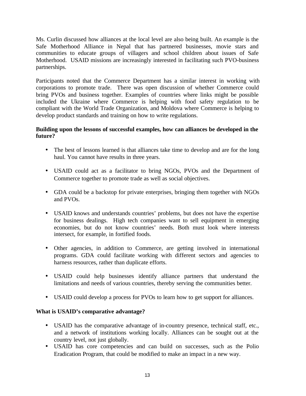Ms. Curlin discussed how alliances at the local level are also being built. An example is the Safe Motherhood Alliance in Nepal that has partnered businesses, movie stars and communities to educate groups of villagers and school children about issues of Safe Motherhood. USAID missions are increasingly interested in facilitating such PVO-business partnerships.

Participants noted that the Commerce Department has a similar interest in working with corporations to promote trade. There was open discussion of whether Commerce could bring PVOs and business together. Examples of countries where links might be possible included the Ukraine where Commerce is helping with food safety regulation to be compliant with the World Trade Organization, and Moldova where Commerce is helping to develop product standards and training on how to write regulations.

#### **Building upon the lessons of successful examples, how can alliances be developed in the future?**

- The best of lessons learned is that alliances take time to develop and are for the long haul. You cannot have results in three years.
- USAID could act as a facilitator to bring NGOs, PVOs and the Department of Commerce together to promote trade as well as social objectives.
- GDA could be a backstop for private enterprises, bringing them together with NGOs and PVOs.
- USAID knows and understands countries' problems, but does not have the expertise for business dealings. High tech companies want to sell equipment in emerging economies, but do not know countries' needs. Both must look where interests intersect, for example, in fortified foods.
- Other agencies, in addition to Commerce, are getting involved in international programs. GDA could facilitate working with different sectors and agencies to harness resources, rather than duplicate efforts.
- USAID could help businesses identify alliance partners that understand the limitations and needs of various countries, thereby serving the communities better.
- USAID could develop a process for PVOs to learn how to get support for alliances.

#### **What is USAID's comparative advantage?**

- USAID has the comparative advantage of in-country presence, technical staff, etc., and a network of institutions working locally. Alliances can be sought out at the country level, not just globally.
- USAID has core competencies and can build on successes, such as the Polio Eradication Program, that could be modified to make an impact in a new way.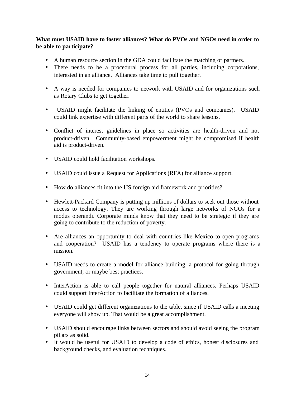#### **What must USAID have to foster alliances? What do PVOs and NGOs need in order to be able to participate?**

- A human resource section in the GDA could facilitate the matching of partners.
- There needs to be a procedural process for all parties, including corporations, interested in an alliance. Alliances take time to pull together.
- A way is needed for companies to network with USAID and for organizations such as Rotary Clubs to get together.
- USAID might facilitate the linking of entities (PVOs and companies). USAID could link expertise with different parts of the world to share lessons.
- Conflict of interest guidelines in place so activities are health-driven and not product-driven. Community-based empowerment might be compromised if health aid is product-driven.
- USAID could hold facilitation workshops.
- USAID could issue a Request for Applications (RFA) for alliance support.
- How do alliances fit into the US foreign aid framework and priorities?
- Hewlett-Packard Company is putting up millions of dollars to seek out those without access to technology. They are working through large networks of NGOs for a modus operandi. Corporate minds know that they need to be strategic if they are going to contribute to the reduction of poverty.
- Are alliances an opportunity to deal with countries like Mexico to open programs and cooperation? USAID has a tendency to operate programs where there is a mission.
- USAID needs to create a model for alliance building, a protocol for going through government, or maybe best practices.
- InterAction is able to call people together for natural alliances. Perhaps USAID could support InterAction to facilitate the formation of alliances.
- USAID could get different organizations to the table, since if USAID calls a meeting everyone will show up. That would be a great accomplishment.
- USAID should encourage links between sectors and should avoid seeing the program pillars as solid.
- It would be useful for USAID to develop a code of ethics, honest disclosures and background checks, and evaluation techniques.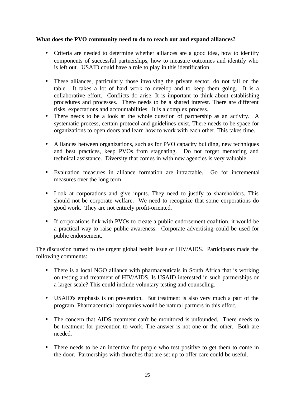#### **What does the PVO community need to do to reach out and expand alliances?**

- Criteria are needed to determine whether alliances are a good idea, how to identify components of successful partnerships, how to measure outcomes and identify who is left out. USAID could have a role to play in this identification.
- These alliances, particularly those involving the private sector, do not fall on the table. It takes a lot of hard work to develop and to keep them going. It is a collaborative effort. Conflicts do arise. It is important to think about establishing procedures and processes. There needs to be a shared interest. There are different risks, expectations and accountabilities. It is a complex process.
- There needs to be a look at the whole question of partnership as an activity. A systematic process, certain protocol and guidelines exist. There needs to be space for organizations to open doors and learn how to work with each other. This takes time.
- Alliances between organizations, such as for PVO capacity building, new techniques and best practices, keep PVOs from stagnating. Do not forget mentoring and technical assistance. Diversity that comes in with new agencies is very valuable.
- Evaluation measures in alliance formation are intractable. Go for incremental measures over the long term.
- Look at corporations and give inputs. They need to justify to shareholders. This should not be corporate welfare. We need to recognize that some corporations do good work. They are not entirely profit-oriented.
- If corporations link with PVOs to create a public endorsement coalition, it would be a practical way to raise public awareness. Corporate advertising could be used for public endorsement.

The discussion turned to the urgent global health issue of HIV/AIDS. Participants made the following comments:

- There is a local NGO alliance with pharmaceuticals in South Africa that is working on testing and treatment of HIV/AIDS. Is USAID interested in such partnerships on a larger scale? This could include voluntary testing and counseling.
- USAID's emphasis is on prevention. But treatment is also very much a part of the program. Pharmaceutical companies would be natural partners in this effort.
- The concern that AIDS treatment can't be monitored is unfounded. There needs to be treatment for prevention to work. The answer is not one or the other. Both are needed.
- There needs to be an incentive for people who test positive to get them to come in the door. Partnerships with churches that are set up to offer care could be useful.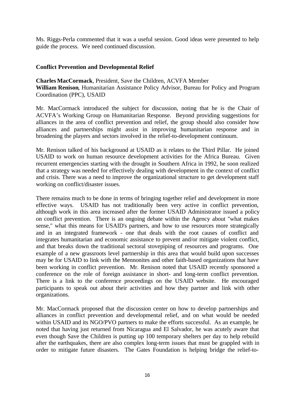Ms. Riggs-Perla commented that it was a useful session. Good ideas were presented to help guide the process. We need continued discussion.

#### **Conflict Prevention and Developmental Relief**

**Charles MacCormack**, President, Save the Children, ACVFA Member **William Renison**, Humanitarian Assistance Policy Advisor, Bureau for Policy and Program Coordination (PPC), USAID

Mr. MacCormack introduced the subject for discussion, noting that he is the Chair of ACVFA's Working Group on Humanitarian Response. Beyond providing suggestions for alliances in the area of conflict prevention and relief, the group should also consider how alliances and partnerships might assist in improving humanitarian response and in broadening the players and sectors involved in the relief-to-development continuum.

Mr. Renison talked of his background at USAID as it relates to the Third Pillar. He joined USAID to work on human resource development activities for the Africa Bureau. Given recurrent emergencies starting with the drought in Southern Africa in 1992, he soon realized that a strategy was needed for effectively dealing with development in the context of conflict and crisis. There was a need to improve the organizational structure to get development staff working on conflict/disaster issues.

There remains much to be done in terms of bringing together relief and development in more effective ways. USAID has not traditionally been very active in conflict prevention, although work in this area increased after the former USAID Administrator issued a policy on conflict prevention. There is an ongoing debate within the Agency about "what makes sense," what this means for USAID's partners, and how to use resources more strategically and in an integrated framework - one that deals with the root causes of conflict and integrates humanitarian and economic assistance to prevent and/or mitigate violent conflict, and that breaks down the traditional sectoral stovepiping of resources and programs. One example of a new grassroots level partnership in this area that would build upon successes may be for USAID to link with the Mennonites and other faith-based organizations that have been working in conflict prevention. Mr. Renison noted that USAID recently sponsored a conference on the role of foreign assistance in short- and long-term conflict prevention. There is a link to the conference proceedings on the USAID website. He encouraged participants to speak out about their activities and how they partner and link with other organizations.

Mr. MacCormack proposed that the discussion center on how to develop partnerships and alliances in conflict prevention and developmental relief, and on what would be needed within USAID and its NGO/PVO partners to make the efforts successful. As an example, he noted that having just returned from Nicaragua and El Salvador, he was acutely aware that even though Save the Children is putting up 100 temporary shelters per day to help rebuild after the earthquakes, there are also complex long-term issues that must be grappled with in order to mitigate future disasters. The Gates Foundation is helping bridge the relief-to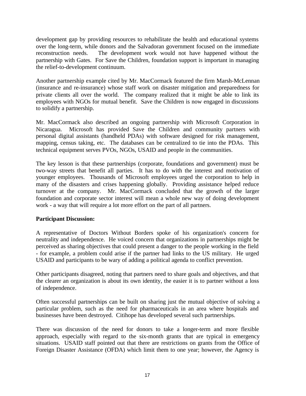development gap by providing resources to rehabilitate the health and educational systems over the long-term, while donors and the Salvadoran government focused on the immediate reconstruction needs. The development work would not have happened without the partnership with Gates. For Save the Children, foundation support is important in managing the relief-to-development continuum.

Another partnership example cited by Mr. MacCormack featured the firm Marsh-McLennan (insurance and re-insurance) whose staff work on disaster mitigation and preparedness for private clients all over the world. The company realized that it might be able to link its employees with NGOs for mutual benefit. Save the Children is now engaged in discussions to solidify a partnership.

Mr. MacCormack also described an ongoing partnership with Microsoft Corporation in Nicaragua. Microsoft has provided Save the Children and community partners with personal digital assistants (handheld PDAs) with software designed for risk management, mapping, census taking, etc. The databases can be centralized to tie into the PDAs. This technical equipment serves PVOs, NGOs, USAID and people in the communities.

The key lesson is that these partnerships (corporate, foundations and government) must be two-way streets that benefit all parties. It has to do with the interest and motivation of younger employees. Thousands of Microsoft employees urged the corporation to help in many of the disasters and crises happening globally. Providing assistance helped reduce turnover at the company. Mr. MacCormack concluded that the growth of the larger foundation and corporate sector interest will mean a whole new way of doing development work - a way that will require a lot more effort on the part of all partners.

#### **Participant Discussion:**

A representative of Doctors Without Borders spoke of his organization's concern for neutrality and independence. He voiced concern that organizations in partnerships might be perceived as sharing objectives that could present a danger to the people working in the field - for example, a problem could arise if the partner had links to the US military. He urged USAID and participants to be wary of adding a political agenda to conflict prevention.

Other participants disagreed, noting that partners need to share goals and objectives, and that the clearer an organization is about its own identity, the easier it is to partner without a loss of independence.

Often successful partnerships can be built on sharing just the mutual objective of solving a particular problem, such as the need for pharmaceuticals in an area where hospitals and businesses have been destroyed. Citihope has developed several such partnerships.

There was discussion of the need for donors to take a longer-term and more flexible approach, especially with regard to the six-month grants that are typical in emergency situations. USAID staff pointed out that there are restrictions on grants from the Office of Foreign Disaster Assistance (OFDA) which limit them to one year; however, the Agency is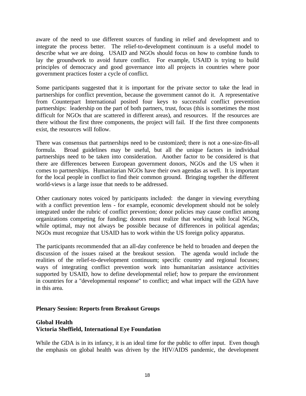aware of the need to use different sources of funding in relief and development and to integrate the process better. The relief-to-development continuum is a useful model to describe what we are doing. USAID and NGOs should focus on how to combine funds to lay the groundwork to avoid future conflict. For example, USAID is trying to build principles of democracy and good governance into all projects in countries where poor government practices foster a cycle of conflict.

Some participants suggested that it is important for the private sector to take the lead in partnerships for conflict prevention, because the government cannot do it. A representative from Counterpart International posited four keys to successful conflict prevention partnerships: leadership on the part of both partners, trust, focus (this is sometimes the most difficult for NGOs that are scattered in different areas), and resources. If the resources are there without the first three components, the project will fail. If the first three components exist, the resources will follow.

There was consensus that partnerships need to be customized; there is not a one-size-fits-all formula. Broad guidelines may be useful, but all the unique factors in individual partnerships need to be taken into consideration. Another factor to be considered is that there are differences between European government donors, NGOs and the US when it comes to partnerships. Humanitarian NGOs have their own agendas as well. It is important for the local people in conflict to find their common ground. Bringing together the different world-views is a large issue that needs to be addressed.

Other cautionary notes voiced by participants included: the danger in viewing everything with a conflict prevention lens - for example, economic development should not be solely integrated under the rubric of conflict prevention; donor policies may cause conflict among organizations competing for funding; donors must realize that working with local NGOs, while optimal, may not always be possible because of differences in political agendas; NGOs must recognize that USAID has to work within the US foreign policy apparatus.

The participants recommended that an all-day conference be held to broaden and deepen the discussion of the issues raised at the breakout session. The agenda would include the realities of the relief-to-development continuum; specific country and regional focuses; ways of integrating conflict prevention work into humanitarian assistance activities supported by USAID, how to define developmental relief; how to prepare the environment in countries for a "developmental response" to conflict; and what impact will the GDA have in this area.

#### **Plenary Session: Reports from Breakout Groups**

#### **Global Health Victoria Sheffield, International Eye Foundation**

While the GDA is in its infancy, it is an ideal time for the public to offer input. Even though the emphasis on global health was driven by the HIV/AIDS pandemic, the development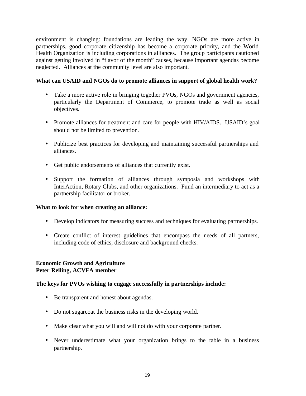environment is changing: foundations are leading the way, NGOs are more active in partnerships, good corporate citizenship has become a corporate priority, and the World Health Organization is including corporations in alliances. The group participants cautioned against getting involved in "flavor of the month" causes, because important agendas become neglected. Alliances at the community level are also important.

#### **What can USAID and NGOs do to promote alliances in support of global health work?**

- Take a more active role in bringing together PVOs, NGOs and government agencies, particularly the Department of Commerce, to promote trade as well as social objectives.
- Promote alliances for treatment and care for people with HIV/AIDS. USAID's goal should not be limited to prevention.
- Publicize best practices for developing and maintaining successful partnerships and alliances.
- Get public endorsements of alliances that currently exist.
- Support the formation of alliances through symposia and workshops with InterAction, Rotary Clubs, and other organizations. Fund an intermediary to act as a partnership facilitator or broker.

#### **What to look for when creating an alliance:**

- Develop indicators for measuring success and techniques for evaluating partnerships.
- Create conflict of interest guidelines that encompass the needs of all partners, including code of ethics, disclosure and background checks.

#### **Economic Growth and Agriculture Peter Reiling, ACVFA member**

#### **The keys for PVOs wishing to engage successfully in partnerships include:**

- Be transparent and honest about agendas.
- Do not sugarcoat the business risks in the developing world.
- Make clear what you will and will not do with your corporate partner.
- Never underestimate what your organization brings to the table in a business partnership.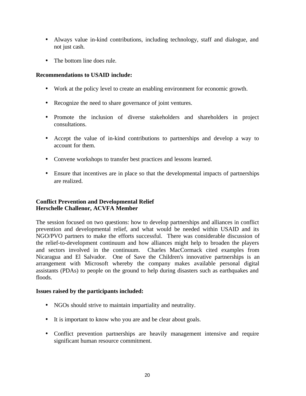- Always value in-kind contributions, including technology, staff and dialogue, and not just cash.
- The bottom line does rule.

#### **Recommendations to USAID include:**

- Work at the policy level to create an enabling environment for economic growth.
- Recognize the need to share governance of joint ventures.
- Promote the inclusion of diverse stakeholders and shareholders in project consultations.
- Accept the value of in-kind contributions to partnerships and develop a way to account for them.
- Convene workshops to transfer best practices and lessons learned.
- Ensure that incentives are in place so that the developmental impacts of partnerships are realized.

#### **Conflict Prevention and Developmental Relief Herschelle Challenor, ACVFA Member**

The session focused on two questions: how to develop partnerships and alliances in conflict prevention and developmental relief, and what would be needed within USAID and its NGO/PVO partners to make the efforts successful. There was considerable discussion of the relief-to-development continuum and how alliances might help to broaden the players and sectors involved in the continuum. Charles MacCormack cited examples from Nicaragua and El Salvador. One of Save the Children's innovative partnerships is an arrangement with Microsoft whereby the company makes available personal digital assistants (PDAs) to people on the ground to help during disasters such as earthquakes and floods.

#### **Issues raised by the participants included:**

- NGOs should strive to maintain impartiality and neutrality.
- It is important to know who you are and be clear about goals.
- Conflict prevention partnerships are heavily management intensive and require significant human resource commitment.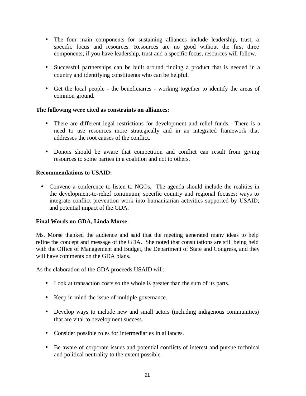- The four main components for sustaining alliances include leadership, trust, a specific focus and resources. Resources are no good without the first three components; if you have leadership, trust and a specific focus, resources will follow.
- Successful partnerships can be built around finding a product that is needed in a country and identifying constituents who can be helpful.
- Get the local people the beneficiaries working together to identify the areas of common ground.

#### **The following were cited as constraints on alliances:**

- There are different legal restrictions for development and relief funds. There is a need to use resources more strategically and in an integrated framework that addresses the root causes of the conflict.
- Donors should be aware that competition and conflict can result from giving resources to some parties in a coalition and not to others.

#### **Recommendations to USAID:**

• Convene a conference to listen to NGOs. The agenda should include the realities in the development-to-relief continuum; specific country and regional focuses; ways to integrate conflict prevention work into humanitarian activities supported by USAID; and potential impact of the GDA.

#### **Final Words on GDA, Linda Morse**

Ms. Morse thanked the audience and said that the meeting generated many ideas to help refine the concept and message of the GDA. She noted that consultations are still being held with the Office of Management and Budget, the Department of State and Congress, and they will have comments on the GDA plans.

As the elaboration of the GDA proceeds USAID will:

- Look at transaction costs so the whole is greater than the sum of its parts.
- Keep in mind the issue of multiple governance.
- Develop ways to include new and small actors (including indigenous communities) that are vital to development success.
- Consider possible roles for intermediaries in alliances.
- Be aware of corporate issues and potential conflicts of interest and pursue technical and political neutrality to the extent possible.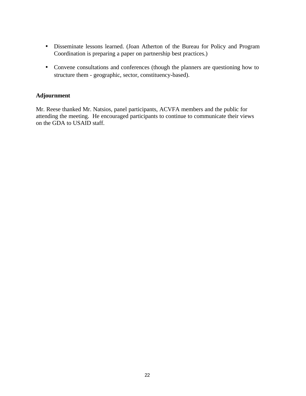- Disseminate lessons learned. (Joan Atherton of the Bureau for Policy and Program Coordination is preparing a paper on partnership best practices.)
- Convene consultations and conferences (though the planners are questioning how to structure them - geographic, sector, constituency-based).

#### **Adjournment**

Mr. Reese thanked Mr. Natsios, panel participants, ACVFA members and the public for attending the meeting. He encouraged participants to continue to communicate their views on the GDA to USAID staff.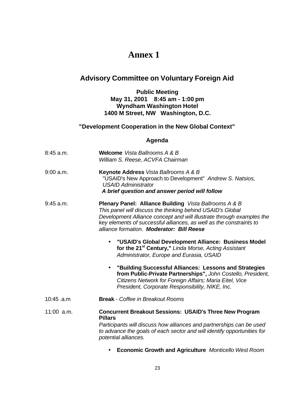## **Annex 1**

## **Advisory Committee on Voluntary Foreign Aid**

#### **Public Meeting May 31, 2001 8:45 am - 1:00 pm Wyndham Washington Hotel 1400 M Street, NW Washington, D.C.**

#### **"Development Cooperation in the New Global Context"**

#### **Agenda**

| 8:45 a.m.   | <b>Welcome</b> Vista Ballrooms A & B<br>William S. Reese, ACVFA Chairman                                                                                                                                                                                                                                                 |
|-------------|--------------------------------------------------------------------------------------------------------------------------------------------------------------------------------------------------------------------------------------------------------------------------------------------------------------------------|
| $9:00$ a.m. | <b>Keynote Address</b> Vista Ballrooms A & B<br>"USAID's New Approach to Development" Andrew S. Natsios,<br><b>USAID Administrator</b><br>A brief question and answer period will follow                                                                                                                                 |
| $9:45$ a.m. | <b>Plenary Panel: Alliance Building</b> Vista Ballrooms A & B<br>This panel will discuss the thinking behind USAID's Global<br>Development Alliance concept and will illustrate through examples the<br>key elements of successful alliances, as well as the constraints to<br>alliance formation. Moderator: Bill Reese |
|             | "USAID's Global Development Alliance: Business Model<br>for the 21 <sup>st</sup> Century," Linda Morse, Acting Assistant<br>Administrator, Europe and Eurasia, USAID                                                                                                                                                     |
|             | "Building Successful Alliances: Lessons and Strategies<br>from Public-Private Partnerships", John Costello, President,<br>Citizens Network for Foreign Affairs; Maria Eitel, Vice<br>President, Corporate Responsibility, NIKE, Inc.                                                                                     |
| 10:45 .a.m  | <b>Break</b> - Coffee in Breakout Rooms                                                                                                                                                                                                                                                                                  |
| 11:00 a.m.  | <b>Concurrent Breakout Sessions: USAID's Three New Program</b><br><b>Pillars</b><br>Participants will discuss how alliances and partnerships can be used<br>to advance the goals of each sector and will identify opportunities for<br>potential alliances.                                                              |

• **Economic Growth and Agriculture** *Monticello West Room*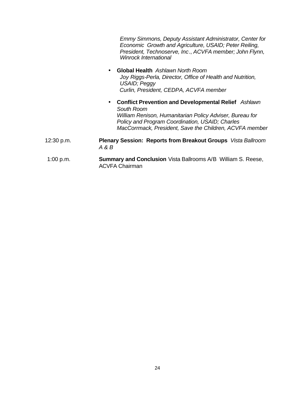*Emmy Simmons, Deputy Assistant Administrator, Center for Economic Growth and Agriculture, USAID; Peter Reiling, President, Technoserve, Inc*., *ACVFA member; John Flynn, Winrock International*

- **Global Health** *Ashlawn North Room Joy Riggs-Perla, Director, Office of Health and Nutrition, USAID; Peggy Curlin, President, CEDPA, ACVFA member*
- **Conflict Prevention and Developmental Relief** *Ashlawn South Room William Renison, Humanitarian Policy Adviser, Bureau for Policy and Program Coordination, USAID; Charles MacCorrmack, President, Save the Children, ACVFA member*
- 12:30 p.m. **Plenary Session: Reports from Breakout Groups** *Vista Ballroom A & B*
- 1:00 p.m. **Summary and Conclusion** Vista Ballrooms A/B William S. Reese, ACVFA Chairman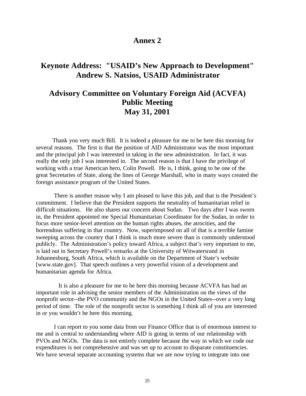#### **Annex 2**

### **Keynote Address: "USAID's New Approach to Development" Andrew S. Natsios, USAID Administrator**

## **Advisory Committee on Voluntary Foreign Aid (ACVFA) Public Meeting May 31, 2001**

 Thank you very much Bill. It is indeed a pleasure for me to be here this morning for several reasons. The first is that the position of AID Administrator was the most important and the principal job I was interested in taking in the new administration. In fact, it was really the only job I was interested in. The second reason is that I have the privilege of working with a true American hero, Colin Powell. He is, I think, going to be one of the great Secretaries of State, along the lines of George Marshall, who in many ways created the foreign assistance program of the United States.

There is another reason why I am pleased to have this job, and that is the President's commitment. I believe that the President supports the neutrality of humanitarian relief in difficult situations. He also shares our concern about Sudan. Two days after I was sworn in, the President appointed me Special Humanitarian Coordinator for the Sudan, in order to focus more senior-level attention on the human rights abuses, the atrocities, and the horrendous suffering in that country. Now, superimposed on all of that is a terrible famine sweeping across the country that I think is much more severe than is commonly understood publicly. The Administration's policy toward Africa, a subject that's very important to me, is laid out in Secretary Powell's remarks at the University of Witwatersrand in Johannesburg, South Africa, which is available on the Department of State's website [www.state.gov]. That speech outlines a very powerful vision of a development and humanitarian agenda for Africa.

 It is also a pleasure for me to be here this morning because ACVFA has had an important role in advising the senior members of the Administration on the views of the nonprofit sector--the PVO community and the NGOs in the United States--over a very long period of time. The role of the nonprofit sector is something I think all of you are interested in or you wouldn't be here this morning.

I can report to you some data from our Finance Office that is of enormous interest to me and is central to understanding where AID is going in terms of our relationship with PVOs and NGOs. The data is not entirely complete because the way in which we code our expenditures is not comprehensive and was set up to account to disparate constituencies. We have several separate accounting systems that we are now trying to integrate into one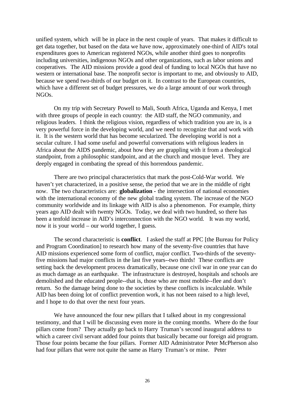unified system, which will be in place in the next couple of years. That makes it difficult to get data together, but based on the data we have now, approximately one-third of AID's total expenditures goes to American registered NGOs, while another third goes to nonprofits including universities, indigenous NGOs and other organizations, such as labor unions and cooperatives. The AID missions provide a good deal of funding to local NGOs that have no western or international base. The nonprofit sector is important to me, and obviously to AID, because we spend two-thirds of our budget on it. In contrast to the European countries, which have a different set of budget pressures, we do a large amount of our work through NGOs.

On my trip with Secretary Powell to Mali, South Africa, Uganda and Kenya, I met with three groups of people in each country: the AID staff, the NGO community, and religious leaders. I think the religious vision, regardless of which tradition you are in, is a very powerful force in the developing world, and we need to recognize that and work with it. It is the western world that has become secularized. The developing world is not a secular culture. I had some useful and powerful conversations with religious leaders in Africa about the AIDS pandemic, about how they are grappling with it from a theological standpoint, from a philosophic standpoint, and at the church and mosque level. They are deeply engaged in combating the spread of this horrendous pandemic.

There are two principal characteristics that mark the post-Cold-War world. We haven't yet characterized, in a positive sense, the period that we are in the middle of right now. The two characteristics are: **globalization -** the intersection of national economies with the international economy of the new global trading system. The increase of the NGO community worldwide and its linkage with AID is also a phenomenon. For example, thirty years ago AID dealt with twenty NGOs. Today, we deal with two hundred, so there has been a tenfold increase in AID's interconnection with the NGO world. It was my world, now it is your world – our world together, I guess.

The second characteristic is **conflict**. I asked the staff at PPC [the Bureau for Policy and Program Coordination] to research how many of the seventy-five countries that have AID missions experienced some form of conflict, major conflict. Two-thirds of the seventyfive missions had major conflicts in the last five years--two thirds! These conflicts are setting back the development process dramatically, because one civil war in one year can do as much damage as an earthquake. The infrastructure is destroyed, hospitals and schools are demolished and the educated people--that is, those who are most mobile--flee and don't return. So the damage being done to the societies by these conflicts is incalculable. While AID has been doing lot of conflict prevention work, it has not been raised to a high level, and I hope to do that over the next four years.

We have announced the four new pillars that I talked about in my congressional testimony, and that I will be discussing even more in the coming months. Where do the four pillars come from? They actually go back to Harry Truman's second inaugural address to which a career civil servant added four points that basically became our foreign aid program. Those four points became the four pillars. Former AID Administrator Peter McPherson also had four pillars that were not quite the same as Harry Truman's or mine. Peter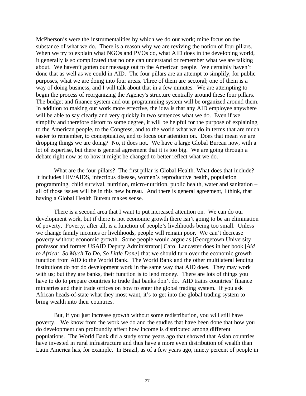McPherson's were the instrumentalities by which we do our work; mine focus on the substance of what we do. There is a reason why we are reviving the notion of four pillars. When we try to explain what NGOs and PVOs do, what AID does in the developing world, it generally is so complicated that no one can understand or remember what we are talking about. We haven't gotten our message out to the American people. We certainly haven't done that as well as we could in AID. The four pillars are an attempt to simplify, for public purposes, what we are doing into four areas. Three of them are sectoral; one of them is a way of doing business, and I will talk about that in a few minutes. We are attempting to begin the process of reorganizing the Agency's structure centrally around these four pillars. The budget and finance system and our programming system will be organized around them. In addition to making our work more effective, the idea is that any AID employee anywhere will be able to say clearly and very quickly in two sentences what we do. Even if we simplify and therefore distort to some degree, it will be helpful for the purpose of explaining to the American people, to the Congress, and to the world what we do in terms that are much easier to remember, to conceptualize, and to focus our attention on. Does that mean we are dropping things we are doing? No, it does not. We have a large Global Bureau now, with a lot of expertise, but there is general agreement that it is too big. We are going through a debate right now as to how it might be changed to better reflect what we do.

What are the four pillars? The first pillar is Global Health. What does that include? It includes HIV/AIDS, infectious disease, women's reproductive health, population programming, child survival, nutrition, micro-nutrition, public health, water and sanitation – all of those issues will be in this new bureau. And there is general agreement, I think, that having a Global Health Bureau makes sense.

There is a second area that I want to put increased attention on. We can do our development work, but if there is not economic growth there isn't going to be an elimination of poverty. Poverty, after all, is a function of people's livelihoods being too small. Unless we change family incomes or livelihoods, people will remain poor. We can't decrease poverty without economic growth. Some people would argue as [Georgetown University professor and former USAID Deputy Administrator] Carol Lancaster does in her book [*Aid to Africa: So Much To Do, So Little Done*] that we should turn over the economic growth function from AID to the World Bank. The World Bank and the other multilateral lending institutions do not do development work in the same way that AID does. They may work with us; but they are banks, their function is to lend money. There are lots of things you have to do to prepare countries to trade that banks don't do. AID trains countries' finance ministries and their trade offices on how to enter the global trading system. If you ask African heads-of-state what they most want, it's to get into the global trading system to bring wealth into their countries.

But, if you just increase growth without some redistribution, you will still have poverty. We know from the work we do and the studies that have been done that how you do development can profoundly affect how income is distributed among different populations. The World Bank did a study some years ago that showed that Asian countries have invested in rural infrastructure and thus have a more even distribution of wealth than Latin America has, for example. In Brazil, as of a few years ago, ninety percent of people in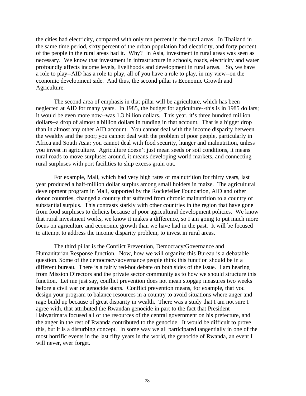the cities had electricity, compared with only ten percent in the rural areas. In Thailand in the same time period, sixty percent of the urban population had electricity, and forty percent of the people in the rural areas had it. Why? In Asia, investment in rural areas was seen as necessary. We know that investment in infrastructure in schools, roads, electricity and water profoundly affects income levels, livelihoods and development in rural areas. So, we have a role to play--AID has a role to play, all of you have a role to play, in my view--on the economic development side. And thus, the second pillar is Economic Growth and Agriculture.

The second area of emphasis in that pillar will be agriculture, which has been neglected at AID for many years. In 1985, the budget for agriculture--this is in 1985 dollars; it would be even more now--was 1.3 billion dollars. This year, it's three hundred million dollars--a drop of almost a billion dollars in funding in that account. That is a bigger drop than in almost any other AID account. You cannot deal with the income disparity between the wealthy and the poor; you cannot deal with the problem of poor people, particularly in Africa and South Asia; you cannot deal with food security, hunger and malnutrition, unless you invest in agriculture. Agriculture doesn't just mean seeds or soil conditions, it means rural roads to move surpluses around, it means developing world markets, and connecting rural surpluses with port facilities to ship excess grain out.

For example, Mali, which had very high rates of malnutrition for thirty years, last year produced a half-million dollar surplus among small holders in maize. The agricultural development program in Mali, supported by the Rockefeller Foundation, AID and other donor countries, changed a country that suffered from chronic malnutrition to a country of substantial surplus. This contrasts starkly with other countries in the region that have gone from food surpluses to deficits because of poor agricultural development policies. We know that rural investment works, we know it makes a difference, so I am going to put much more focus on agriculture and economic growth than we have had in the past. It will be focused to attempt to address the income disparity problem, to invest in rural areas.

The third pillar is the Conflict Prevention, Democracy/Governance and Humanitarian Response function. Now, how we will organize this Bureau is a debatable question. Some of the democracy/governance people think this function should be in a different bureau. There is a fairly red-hot debate on both sides of the issue. I am hearing from Mission Directors and the private sector community as to how we should structure this function. Let me just say, conflict prevention does not mean stopgap measures two weeks before a civil war or genocide starts. Conflict prevention means, for example, that you design your program to balance resources in a country to avoid situations where anger and rage build up because of great disparity in wealth. There was a study that I am not sure I agree with, that attributed the Rwandan genocide in part to the fact that President Habyarimara focused all of the resources of the central government on his prefecture, and the anger in the rest of Rwanda contributed to the genocide. It would be difficult to prove this, but it is a disturbing concept. In some way we all participated tangentially in one of the most horrific events in the last fifty years in the world, the genocide of Rwanda, an event I will never, ever forget.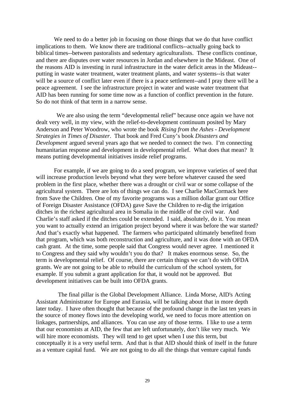We need to do a better job in focusing on those things that we do that have conflict implications to them. We know there are traditional conflicts--actually going back to biblical times--between pastoralists and sedentary agriculturalists. These conflicts continue, and there are disputes over water resources in Jordan and elsewhere in the Mideast. One of the reasons AID is investing in rural infrastructure in the water deficit areas in the Mideast- putting in waste water treatment, water treatment plants, and water systems--is that water will be a source of conflict later even if there is a peace settlement--and I pray there will be a peace agreement. I see the infrastructure project in water and waste water treatment that AID has been running for some time now as a function of conflict prevention in the future. So do not think of that term in a narrow sense.

 We are also using the term "developmental relief" because once again we have not dealt very well, in my view, with the relief-to-development continuum posited by Mary Anderson and Peter Woodrow, who wrote the book *Rising from the Ashes - Development Strategies in Times of Disaster*. That book and Fred Cuny's book *Disasters and Development* argued several years ago that we needed to connect the two. I'm connecting humanitarian response and development in developmental relief. What does that mean? It means putting developmental initiatives inside relief programs.

For example, if we are going to do a seed program, we improve varieties of seed that will increase production levels beyond what they were before whatever caused the seed problem in the first place, whether there was a drought or civil war or some collapse of the agricultural system. There are lots of things we can do. I see Charlie MacCormack here from Save the Children. One of my favorite programs was a million dollar grant our Office of Foreign Disaster Assistance (OFDA) gave Save the Children to re-dig the irrigation ditches in the richest agricultural area in Somalia in the middle of the civil war. And Charlie's staff asked if the ditches could be extended. I said, absolutely, do it. You mean you want to actually extend an irrigation project beyond where it was before the war started? And that's exactly what happened. The farmers who participated ultimately benefited from that program, which was both reconstruction and agriculture, and it was done with an OFDA cash grant. At the time, some people said that Congress would never agree. I mentioned it to Congress and they said why wouldn't you do that? It makes enormous sense. So, the term is developmental relief. Of course, there are certain things we can't do with OFDA grants. We are not going to be able to rebuild the curriculum of the school system, for example. If you submit a grant application for that, it would not be approved. But development initiatives can be built into OFDA grants.

 The final pillar is the Global Development Alliance. Linda Morse, AID's Acting Assistant Administrator for Europe and Eurasia, will be talking about that in more depth later today. I have often thought that because of the profound change in the last ten years in the source of money flows into the developing world, we need to focus more attention on linkages, partnerships, and alliances. You can use any of those terms. I like to use a term that our economists at AID, the few that are left unfortunately, don't like very much. We will hire more economists. They will tend to get upset when I use this term, but conceptually it is a very useful term. And that is that AID should think of itself in the future as a venture capital fund. We are not going to do all the things that venture capital funds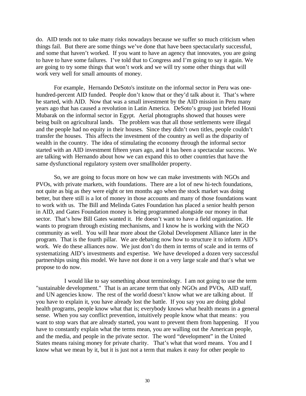do. AID tends not to take many risks nowadays because we suffer so much criticism when things fail. But there are some things we've done that have been spectacularly successful, and some that haven't worked. If you want to have an agency that innovates, you are going to have to have some failures. I've told that to Congress and I'm going to say it again. We are going to try some things that won't work and we will try some other things that will work very well for small amounts of money.

For example, Hernando DeSoto's institute on the informal sector in Peru was onehundred-percent AID funded. People don't know that or they'd talk about it. That's where he started, with AID. Now that was a small investment by the AID mission in Peru many years ago that has caused a revolution in Latin America. DeSoto's group just briefed Hosni Mubarak on the informal sector in Egypt. Aerial photographs showed that houses were being built on agricultural lands. The problem was that all those settlements were illegal and the people had no equity in their houses. Since they didn't own titles, people couldn't transfer the houses. This affects the investment of the country as well as the disparity of wealth in the country. The idea of stimulating the economy through the informal sector started with an AID investment fifteen years ago, and it has been a spectacular success. We are talking with Hernando about how we can expand this to other countries that have the same dysfunctional regulatory system over smallholder property.

So, we are going to focus more on how we can make investments with NGOs and PVOs, with private markets, with foundations. There are a lot of new hi-tech foundations, not quite as big as they were eight or ten months ago when the stock market was doing better, but there still is a lot of money in those accounts and many of those foundations want to work with us. The Bill and Melinda Gates Foundation has placed a senior health person in AID, and Gates Foundation money is being programmed alongside our money in that sector. That's how Bill Gates wanted it. He doesn't want to have a field organization. He wants to program through existing mechanisms, and I know he is working with the NGO community as well. You will hear more about the Global Development Alliance later in the program. That is the fourth pillar. We are debating now how to structure it to inform AID's work. We do these alliances now. We just don't do them in terms of scale and in terms of systematizing AID's investments and expertise. We have developed a dozen very successful partnerships using this model. We have not done it on a very large scale and that's what we propose to do now.

 I would like to say something about terminology. I am not going to use the term "sustainable development." That is an arcane term that only NGOs and PVOs, AID staff, and UN agencies know. The rest of the world doesn't know what we are talking about. If you have to explain it, you have already lost the battle. If you say you are doing global health programs, people know what that is; everybody knows what health means in a general sense. When you say conflict prevention, intuitively people know what that means: you want to stop wars that are already started, you want to prevent them from happening. If you have to constantly explain what the terms mean, you are walling out the American people, and the media, and people in the private sector. The word "development" in the United States means raising money for private charity. That's what that word means. You and I know what we mean by it, but it is just not a term that makes it easy for other people to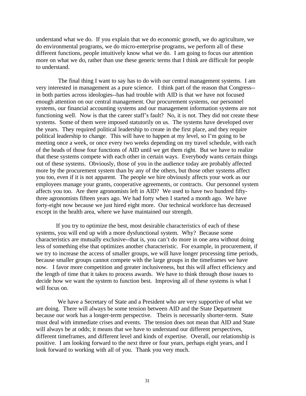understand what we do. If you explain that we do economic growth, we do agriculture, we do environmental programs, we do micro-enterprise programs, we perform all of these different functions, people intuitively know what we do. I am going to focus our attention more on what we do, rather than use these generic terms that I think are difficult for people to understand.

 The final thing I want to say has to do with our central management systems. I am very interested in management as a pure science. I think part of the reason that Congress- in both parties across ideologies--has had trouble with AID is that we have not focused enough attention on our central management. Our procurement systems, our personnel systems, our financial accounting systems and our management information systems are not functioning well. Now is that the career staff's fault? No, it is not. They did not create these systems. Some of them were imposed statutorily on us. The systems have developed over the years. They required political leadership to create in the first place, and they require political leadership to change. This will have to happen at my level, so I'm going to be meeting once a week, or once every two weeks depending on my travel schedule, with each of the heads of those four functions of AID until we get them right. But we have to realize that these systems compete with each other in certain ways. Everybody wants certain things out of these systems. Obviously, those of you in the audience today are probably affected more by the procurement system than by any of the others, but those other systems affect you too, even if it is not apparent. The people we hire obviously affects your work as our employees manage your grants, cooperative agreements, or contracts. Our personnel system affects you too. Are there agronomists left in AID? We used to have two hundred fiftythree agronomists fifteen years ago. We had forty when I started a month ago. We have forty-eight now because we just hired eight more. Our technical workforce has decreased except in the health area, where we have maintained our strength.

 If you try to optimize the best, most desirable characteristics of each of these systems, you will end up with a more dysfunctional system. Why? Because some characteristics are mutually exclusive--that is, you can't do more in one area without doing less of something else that optimizes another characteristic. For example, in procurement, if we try to increase the access of smaller groups, we will have longer processing time periods, because smaller groups cannot compete with the large groups in the timeframes we have now. I favor more competition and greater inclusiveness, but this will affect efficiency and the length of time that it takes to process awards. We have to think through those issues to decide how we want the system to function best. Improving all of these systems is what I will focus on.

 We have a Secretary of State and a President who are very supportive of what we are doing. There will always be some tension between AID and the State Department because our work has a longer-term perspective. Theirs is necessarily shorter-term. State must deal with immediate crises and events. The tension does not mean that AID and State will always be at odds; it means that we have to understand our different perspectives, different timeframes, and different level and kinds of expertise. Overall, our relationship is positive. I am looking forward to the next three or four years, perhaps eight years, and I look forward to working with all of you. Thank you very much.